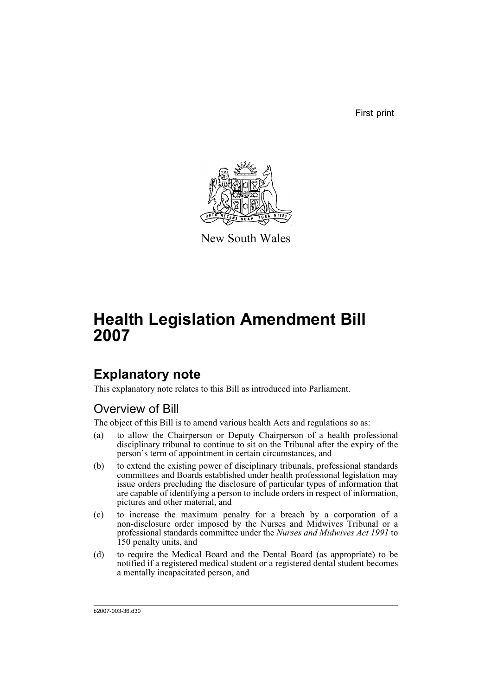First print



New South Wales

# **Health Legislation Amendment Bill 2007**

# **Explanatory note**

This explanatory note relates to this Bill as introduced into Parliament.

# Overview of Bill

The object of this Bill is to amend various health Acts and regulations so as:

- (a) to allow the Chairperson or Deputy Chairperson of a health professional disciplinary tribunal to continue to sit on the Tribunal after the expiry of the person's term of appointment in certain circumstances, and
- (b) to extend the existing power of disciplinary tribunals, professional standards committees and Boards established under health professional legislation may issue orders precluding the disclosure of particular types of information that are capable of identifying a person to include orders in respect of information, pictures and other material, and
- (c) to increase the maximum penalty for a breach by a corporation of a non-disclosure order imposed by the Nurses and Midwives Tribunal or a professional standards committee under the *Nurses and Midwives Act 1991* to 150 penalty units, and
- (d) to require the Medical Board and the Dental Board (as appropriate) to be notified if a registered medical student or a registered dental student becomes a mentally incapacitated person, and

b2007-003-36.d30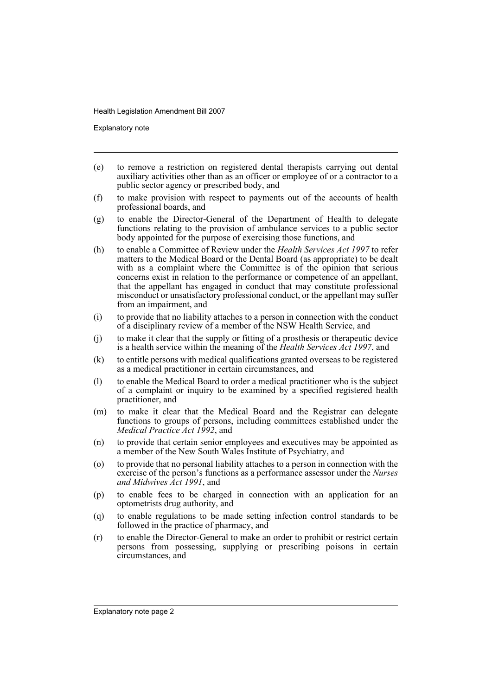Explanatory note

- (e) to remove a restriction on registered dental therapists carrying out dental auxiliary activities other than as an officer or employee of or a contractor to a public sector agency or prescribed body, and
- (f) to make provision with respect to payments out of the accounts of health professional boards, and
- (g) to enable the Director-General of the Department of Health to delegate functions relating to the provision of ambulance services to a public sector body appointed for the purpose of exercising those functions, and
- (h) to enable a Committee of Review under the *Health Services Act 1997* to refer matters to the Medical Board or the Dental Board (as appropriate) to be dealt with as a complaint where the Committee is of the opinion that serious concerns exist in relation to the performance or competence of an appellant, that the appellant has engaged in conduct that may constitute professional misconduct or unsatisfactory professional conduct, or the appellant may suffer from an impairment, and
- (i) to provide that no liability attaches to a person in connection with the conduct of a disciplinary review of a member of the NSW Health Service, and
- (j) to make it clear that the supply or fitting of a prosthesis or therapeutic device is a health service within the meaning of the *Health Services Act 1997*, and
- (k) to entitle persons with medical qualifications granted overseas to be registered as a medical practitioner in certain circumstances, and
- (l) to enable the Medical Board to order a medical practitioner who is the subject of a complaint or inquiry to be examined by a specified registered health practitioner, and
- (m) to make it clear that the Medical Board and the Registrar can delegate functions to groups of persons, including committees established under the *Medical Practice Act 1992*, and
- (n) to provide that certain senior employees and executives may be appointed as a member of the New South Wales Institute of Psychiatry, and
- (o) to provide that no personal liability attaches to a person in connection with the exercise of the person's functions as a performance assessor under the *Nurses and Midwives Act 1991*, and
- (p) to enable fees to be charged in connection with an application for an optometrists drug authority, and
- (q) to enable regulations to be made setting infection control standards to be followed in the practice of pharmacy, and
- (r) to enable the Director-General to make an order to prohibit or restrict certain persons from possessing, supplying or prescribing poisons in certain circumstances, and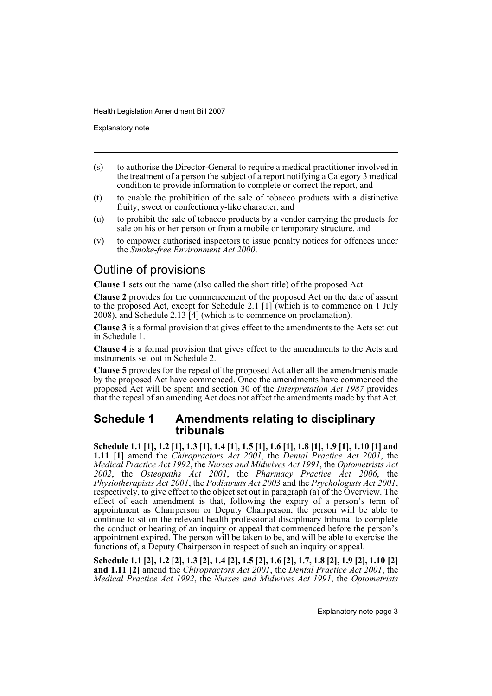Explanatory note

- (s) to authorise the Director-General to require a medical practitioner involved in the treatment of a person the subject of a report notifying a Category 3 medical condition to provide information to complete or correct the report, and
- (t) to enable the prohibition of the sale of tobacco products with a distinctive fruity, sweet or confectionery-like character, and
- (u) to prohibit the sale of tobacco products by a vendor carrying the products for sale on his or her person or from a mobile or temporary structure, and
- (v) to empower authorised inspectors to issue penalty notices for offences under the *Smoke-free Environment Act 2000*.

# Outline of provisions

**Clause 1** sets out the name (also called the short title) of the proposed Act.

**Clause 2** provides for the commencement of the proposed Act on the date of assent to the proposed Act, except for Schedule 2.1 [1] (which is to commence on 1 July 2008), and Schedule 2.13 [4] (which is to commence on proclamation).

**Clause 3** is a formal provision that gives effect to the amendments to the Acts set out in Schedule 1.

**Clause 4** is a formal provision that gives effect to the amendments to the Acts and instruments set out in Schedule 2.

**Clause 5** provides for the repeal of the proposed Act after all the amendments made by the proposed Act have commenced. Once the amendments have commenced the proposed Act will be spent and section 30 of the *Interpretation Act 1987* provides that the repeal of an amending Act does not affect the amendments made by that Act.

### **Schedule 1 Amendments relating to disciplinary tribunals**

**Schedule 1.1 [1], 1.2 [1], 1.3 [1], 1.4 [1], 1.5 [1], 1.6 [1], 1.8 [1], 1.9 [1], 1.10 [1] and 1.11 [1]** amend the *Chiropractors Act 2001*, the *Dental Practice Act 2001*, the *Medical Practice Act 1992*, the *Nurses and Midwives Act 1991*, the *Optometrists Act 2002*, the *Osteopaths Act 2001*, the *Pharmacy Practice Act 2006*, the *Physiotherapists Act 2001*, the *Podiatrists Act 2003* and the *Psychologists Act 2001*, respectively, to give effect to the object set out in paragraph (a) of the Overview. The effect of each amendment is that, following the expiry of a person's term of appointment as Chairperson or Deputy Chairperson, the person will be able to continue to sit on the relevant health professional disciplinary tribunal to complete the conduct or hearing of an inquiry or appeal that commenced before the person's appointment expired. The person will be taken to be, and will be able to exercise the functions of, a Deputy Chairperson in respect of such an inquiry or appeal.

**Schedule 1.1 [2], 1.2 [2], 1.3 [2], 1.4 [2], 1.5 [2], 1.6 [2], 1.7, 1.8 [2], 1.9 [2], 1.10 [2] and 1.11 [2]** amend the *Chiropractors Act 2001*, the *Dental Practice Act 2001*, the *Medical Practice Act 1992*, the *Nurses and Midwives Act 1991*, the *Optometrists*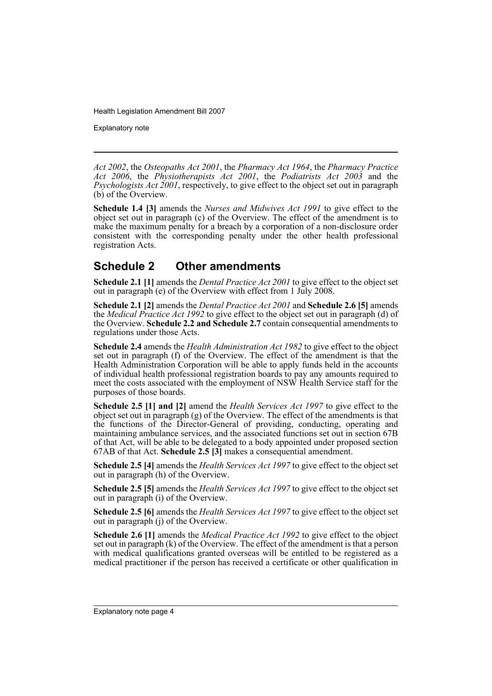Explanatory note

*Act 2002*, the *Osteopaths Act 2001*, the *Pharmacy Act 1964*, the *Pharmacy Practice Act 2006*, the *Physiotherapists Act 2001*, the *Podiatrists Act 2003* and the *Psychologists Act 2001*, respectively, to give effect to the object set out in paragraph (b) of the Overview.

**Schedule 1.4 [3]** amends the *Nurses and Midwives Act 1991* to give effect to the object set out in paragraph (c) of the Overview. The effect of the amendment is to make the maximum penalty for a breach by a corporation of a non-disclosure order consistent with the corresponding penalty under the other health professional registration Acts.

# **Schedule 2 Other amendments**

**Schedule 2.1 [1]** amends the *Dental Practice Act 2001* to give effect to the object set out in paragraph (e) of the Overview with effect from 1 July 2008.

**Schedule 2.1 [2]** amends the *Dental Practice Act 2001* and **Schedule 2.6 [5]** amends the *Medical Practice Act 1992* to give effect to the object set out in paragraph (d) of the Overview. **Schedule 2.2 and Schedule 2.7** contain consequential amendments to regulations under those Acts.

**Schedule 2.4** amends the *Health Administration Act 1982* to give effect to the object set out in paragraph (f) of the Overview. The effect of the amendment is that the Health Administration Corporation will be able to apply funds held in the accounts of individual health professional registration boards to pay any amounts required to meet the costs associated with the employment of NSW Health Service staff for the purposes of those boards.

**Schedule 2.5 [1] and [2]** amend the *Health Services Act 1997* to give effect to the object set out in paragraph (g) of the Overview. The effect of the amendments is that the functions of the Director-General of providing, conducting, operating and maintaining ambulance services, and the associated functions set out in section 67B of that Act, will be able to be delegated to a body appointed under proposed section 67AB of that Act. **Schedule 2.5 [3]** makes a consequential amendment.

**Schedule 2.5 [4]** amends the *Health Services Act 1997* to give effect to the object set out in paragraph (h) of the Overview.

**Schedule 2.5 [5]** amends the *Health Services Act 1997* to give effect to the object set out in paragraph (i) of the Overview.

**Schedule 2.5 [6]** amends the *Health Services Act 1997* to give effect to the object set out in paragraph (j) of the Overview.

**Schedule 2.6 [1]** amends the *Medical Practice Act 1992* to give effect to the object set out in paragraph (k) of the Overview. The effect of the amendment is that a person with medical qualifications granted overseas will be entitled to be registered as a medical practitioner if the person has received a certificate or other qualification in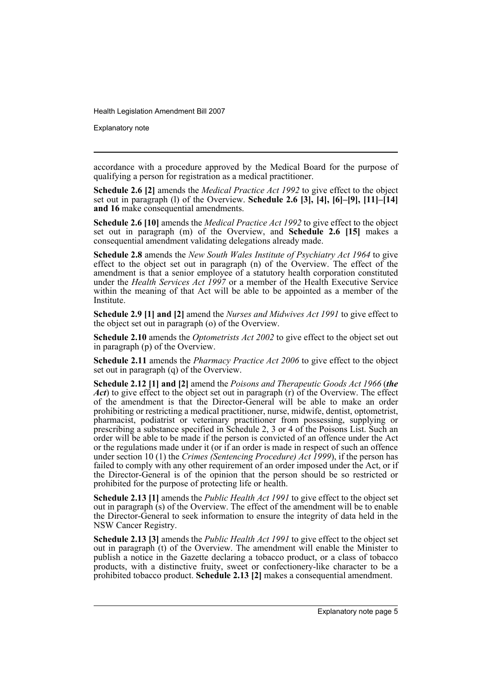Explanatory note

accordance with a procedure approved by the Medical Board for the purpose of qualifying a person for registration as a medical practitioner.

**Schedule 2.6 [2]** amends the *Medical Practice Act 1992* to give effect to the object set out in paragraph (l) of the Overview. **Schedule 2.6 [3], [4], [6]–[9], [11]–[14] and 16** make consequential amendments.

**Schedule 2.6 [10]** amends the *Medical Practice Act 1992* to give effect to the object set out in paragraph (m) of the Overview, and **Schedule 2.6 [15]** makes a consequential amendment validating delegations already made.

**Schedule 2.8** amends the *New South Wales Institute of Psychiatry Act 1964* to give effect to the object set out in paragraph (n) of the Overview. The effect of the amendment is that a senior employee of a statutory health corporation constituted under the *Health Services Act 1997* or a member of the Health Executive Service within the meaning of that Act will be able to be appointed as a member of the Institute.

**Schedule 2.9 [1] and [2]** amend the *Nurses and Midwives Act 1991* to give effect to the object set out in paragraph (o) of the Overview.

**Schedule 2.10** amends the *Optometrists Act 2002* to give effect to the object set out in paragraph (p) of the Overview.

**Schedule 2.11** amends the *Pharmacy Practice Act 2006* to give effect to the object set out in paragraph (q) of the Overview.

**Schedule 2.12 [1] and [2]** amend the *Poisons and Therapeutic Goods Act 1966* (*the Act*) to give effect to the object set out in paragraph (r) of the Overview. The effect of the amendment is that the Director-General will be able to make an order prohibiting or restricting a medical practitioner, nurse, midwife, dentist, optometrist, pharmacist, podiatrist or veterinary practitioner from possessing, supplying or prescribing a substance specified in Schedule 2, 3 or 4 of the Poisons List. Such an order will be able to be made if the person is convicted of an offence under the Act or the regulations made under it (or if an order is made in respect of such an offence under section 10 (1) the *Crimes (Sentencing Procedure) Act 1999*), if the person has failed to comply with any other requirement of an order imposed under the Act, or if the Director-General is of the opinion that the person should be so restricted or prohibited for the purpose of protecting life or health.

**Schedule 2.13 [1]** amends the *Public Health Act 1991* to give effect to the object set out in paragraph (s) of the Overview. The effect of the amendment will be to enable the Director-General to seek information to ensure the integrity of data held in the NSW Cancer Registry.

**Schedule 2.13 [3]** amends the *Public Health Act 1991* to give effect to the object set out in paragraph (t) of the Overview. The amendment will enable the Minister to publish a notice in the Gazette declaring a tobacco product, or a class of tobacco products, with a distinctive fruity, sweet or confectionery-like character to be a prohibited tobacco product. **Schedule 2.13 [2]** makes a consequential amendment.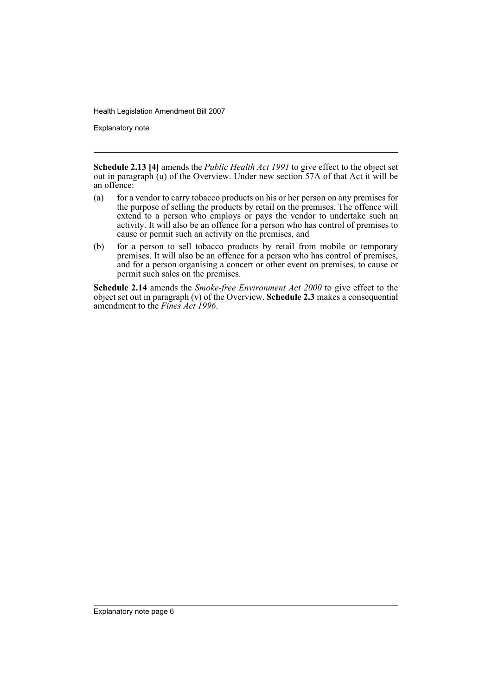Explanatory note

**Schedule 2.13 [4]** amends the *Public Health Act 1991* to give effect to the object set out in paragraph (u) of the Overview. Under new section 57A of that Act it will be an offence:

- (a) for a vendor to carry tobacco products on his or her person on any premises for the purpose of selling the products by retail on the premises. The offence will extend to a person who employs or pays the vendor to undertake such an activity. It will also be an offence for a person who has control of premises to cause or permit such an activity on the premises, and
- (b) for a person to sell tobacco products by retail from mobile or temporary premises. It will also be an offence for a person who has control of premises, and for a person organising a concert or other event on premises, to cause or permit such sales on the premises.

**Schedule 2.14** amends the *Smoke-free Environment Act 2000* to give effect to the object set out in paragraph (v) of the Overview. **Schedule 2.3** makes a consequential amendment to the *Fines Act 1996*.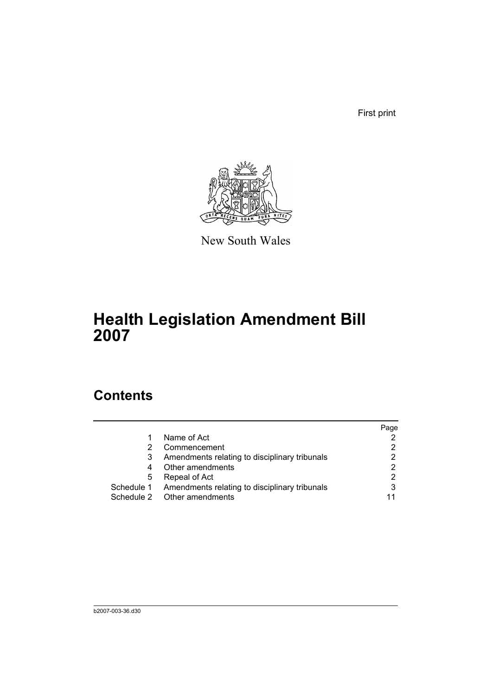First print



New South Wales

# **Health Legislation Amendment Bill 2007**

# **Contents**

|   |                                                          | Page |
|---|----------------------------------------------------------|------|
|   | Name of Act                                              |      |
|   | Commencement                                             |      |
| 3 | Amendments relating to disciplinary tribunals            |      |
| 4 | Other amendments                                         |      |
| 5 | Repeal of Act                                            |      |
|   | Schedule 1 Amendments relating to disciplinary tribunals | 3    |
|   | Schedule 2 Other amendments                              | 11   |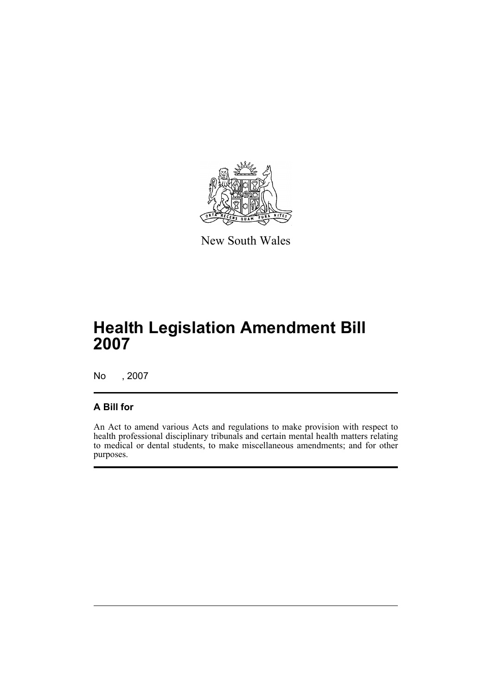

New South Wales

# **Health Legislation Amendment Bill 2007**

No , 2007

### **A Bill for**

An Act to amend various Acts and regulations to make provision with respect to health professional disciplinary tribunals and certain mental health matters relating to medical or dental students, to make miscellaneous amendments; and for other purposes.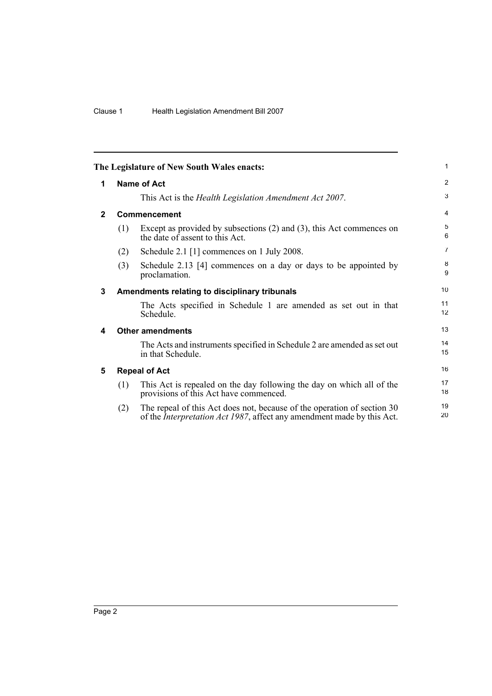<span id="page-9-4"></span><span id="page-9-3"></span><span id="page-9-2"></span><span id="page-9-1"></span><span id="page-9-0"></span>

|                         |     | The Legislature of New South Wales enacts:                                                                                                                | 1              |  |  |
|-------------------------|-----|-----------------------------------------------------------------------------------------------------------------------------------------------------------|----------------|--|--|
| <b>Name of Act</b><br>1 |     |                                                                                                                                                           |                |  |  |
|                         |     | This Act is the <i>Health Legislation Amendment Act 2007</i> .                                                                                            | 3              |  |  |
| $\mathbf{2}$            |     | Commencement                                                                                                                                              | $\overline{4}$ |  |  |
|                         | (1) | Except as provided by subsections $(2)$ and $(3)$ , this Act commences on<br>the date of assent to this Act.                                              | 5<br>6         |  |  |
|                         | (2) | Schedule 2.1 [1] commences on 1 July 2008.                                                                                                                | $\overline{7}$ |  |  |
|                         | (3) | Schedule 2.13 [4] commences on a day or days to be appointed by<br>proclamation.                                                                          | 8<br>9         |  |  |
| 3                       |     | Amendments relating to disciplinary tribunals                                                                                                             | 10             |  |  |
|                         |     | The Acts specified in Schedule 1 are amended as set out in that<br>Schedule.                                                                              | 11<br>12       |  |  |
| 4                       |     | <b>Other amendments</b>                                                                                                                                   | 13             |  |  |
|                         |     | The Acts and instruments specified in Schedule 2 are amended as set out<br>in that Schedule.                                                              | 14<br>15       |  |  |
| 5                       |     | <b>Repeal of Act</b>                                                                                                                                      | 16             |  |  |
|                         | (1) | This Act is repealed on the day following the day on which all of the<br>provisions of this Act have commenced.                                           | 17<br>18       |  |  |
|                         | (2) | The repeal of this Act does not, because of the operation of section 30<br>of the <i>Interpretation Act 1987</i> , affect any amendment made by this Act. | 19<br>20       |  |  |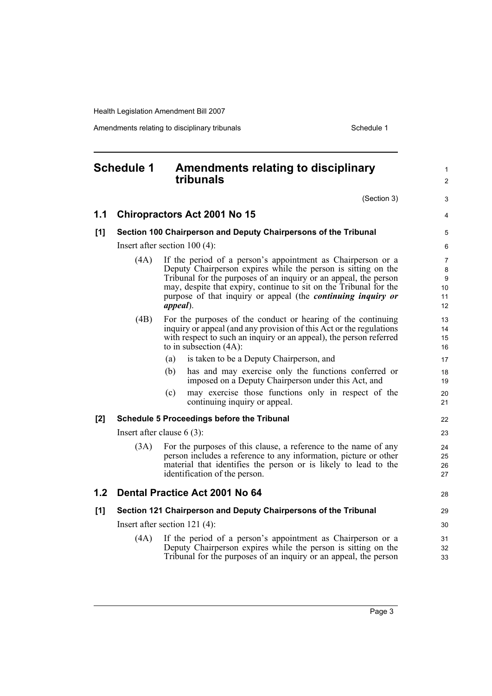Amendments relating to disciplinary tribunals **Schedule 1** Schedule 1

<span id="page-10-0"></span>

| <b>Schedule 1</b> |      | <b>Amendments relating to disciplinary</b><br>tribunals                                                                                                                                                                                                                                                                                                          | $\mathbf{1}$<br>$\overline{2}$             |
|-------------------|------|------------------------------------------------------------------------------------------------------------------------------------------------------------------------------------------------------------------------------------------------------------------------------------------------------------------------------------------------------------------|--------------------------------------------|
|                   |      | (Section 3)                                                                                                                                                                                                                                                                                                                                                      | 3                                          |
| 1.1               |      | <b>Chiropractors Act 2001 No 15</b>                                                                                                                                                                                                                                                                                                                              | 4                                          |
| [1]               |      | Section 100 Chairperson and Deputy Chairpersons of the Tribunal                                                                                                                                                                                                                                                                                                  | 5                                          |
|                   |      | Insert after section $100(4)$ :                                                                                                                                                                                                                                                                                                                                  | 6                                          |
|                   | (4A) | If the period of a person's appointment as Chairperson or a<br>Deputy Chairperson expires while the person is sitting on the<br>Tribunal for the purposes of an inquiry or an appeal, the person<br>may, despite that expiry, continue to sit on the Tribunal for the<br>purpose of that inquiry or appeal (the <i>continuing inquiry or</i><br><i>appeal</i> ). | $\overline{7}$<br>8<br>9<br>10<br>11<br>12 |
|                   | (4B) | For the purposes of the conduct or hearing of the continuing<br>inquiry or appeal (and any provision of this Act or the regulations<br>with respect to such an inquiry or an appeal), the person referred<br>to in subsection $(4A)$ :                                                                                                                           | 13<br>14<br>15<br>16                       |
|                   |      | is taken to be a Deputy Chairperson, and<br>(a)                                                                                                                                                                                                                                                                                                                  | 17                                         |
|                   |      | has and may exercise only the functions conferred or<br>(b)<br>imposed on a Deputy Chairperson under this Act, and                                                                                                                                                                                                                                               | 18<br>19                                   |
|                   |      | may exercise those functions only in respect of the<br>(c)<br>continuing inquiry or appeal.                                                                                                                                                                                                                                                                      | 20<br>21                                   |
| [2]               |      | <b>Schedule 5 Proceedings before the Tribunal</b>                                                                                                                                                                                                                                                                                                                | 22                                         |
|                   |      | Insert after clause $6(3)$ :                                                                                                                                                                                                                                                                                                                                     | 23                                         |
|                   | (3A) | For the purposes of this clause, a reference to the name of any<br>person includes a reference to any information, picture or other<br>material that identifies the person or is likely to lead to the<br>identification of the person.                                                                                                                          | 24<br>25<br>26<br>27                       |
| 1.2 <sub>2</sub>  |      | Dental Practice Act 2001 No 64                                                                                                                                                                                                                                                                                                                                   | 28                                         |
| [1]               |      | Section 121 Chairperson and Deputy Chairpersons of the Tribunal                                                                                                                                                                                                                                                                                                  | 29                                         |
|                   |      | Insert after section $121(4)$ :                                                                                                                                                                                                                                                                                                                                  | 30                                         |
|                   | (4A) | If the period of a person's appointment as Chairperson or a<br>Deputy Chairperson expires while the person is sitting on the<br>Tribunal for the purposes of an inquiry or an appeal, the person                                                                                                                                                                 | 31<br>32<br>33                             |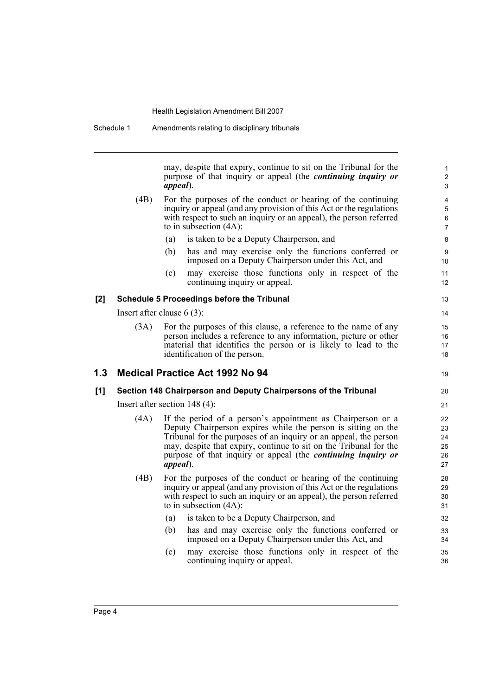may, despite that expiry, continue to sit on the Tribunal for the purpose of that inquiry or appeal (the *continuing inquiry or appeal*).

19

- (4B) For the purposes of the conduct or hearing of the continuing inquiry or appeal (and any provision of this Act or the regulations with respect to such an inquiry or an appeal), the person referred to in subsection (4A):
	- (a) is taken to be a Deputy Chairperson, and
	- (b) has and may exercise only the functions conferred or imposed on a Deputy Chairperson under this Act, and
	- (c) may exercise those functions only in respect of the continuing inquiry or appeal.

#### **[2] Schedule 5 Proceedings before the Tribunal**

Insert after clause 6 (3):

(3A) For the purposes of this clause, a reference to the name of any person includes a reference to any information, picture or other material that identifies the person or is likely to lead to the identification of the person.

### **1.3 Medical Practice Act 1992 No 94**

#### **[1] Section 148 Chairperson and Deputy Chairpersons of the Tribunal**

Insert after section 148 (4):

- (4A) If the period of a person's appointment as Chairperson or a Deputy Chairperson expires while the person is sitting on the Tribunal for the purposes of an inquiry or an appeal, the person may, despite that expiry, continue to sit on the Tribunal for the purpose of that inquiry or appeal (the *continuing inquiry or appeal*).
- (4B) For the purposes of the conduct or hearing of the continuing inquiry or appeal (and any provision of this Act or the regulations with respect to such an inquiry or an appeal), the person referred to in subsection (4A):
	- (a) is taken to be a Deputy Chairperson, and
	- (b) has and may exercise only the functions conferred or imposed on a Deputy Chairperson under this Act, and
	- (c) may exercise those functions only in respect of the continuing inquiry or appeal.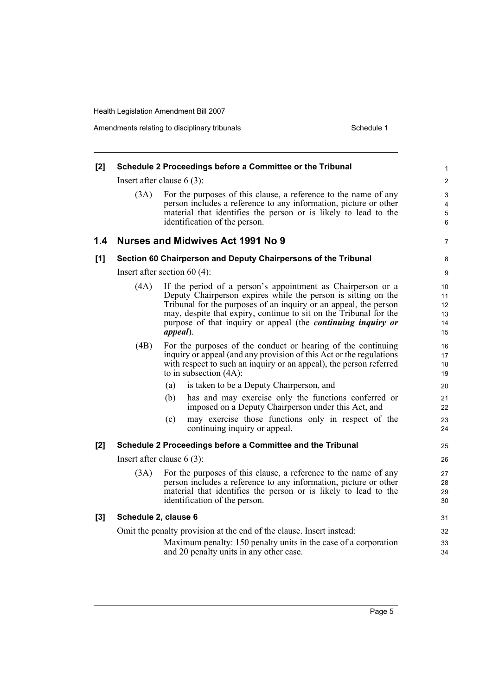| [2] |                      | Schedule 2 Proceedings before a Committee or the Tribunal                                                                                                                                                                                                                                                                                                | 1                                |
|-----|----------------------|----------------------------------------------------------------------------------------------------------------------------------------------------------------------------------------------------------------------------------------------------------------------------------------------------------------------------------------------------------|----------------------------------|
|     |                      | Insert after clause $6(3)$ :                                                                                                                                                                                                                                                                                                                             | $\overline{c}$                   |
|     | (3A)                 | For the purposes of this clause, a reference to the name of any<br>person includes a reference to any information, picture or other<br>material that identifies the person or is likely to lead to the<br>identification of the person.                                                                                                                  | 3<br>4<br>5<br>6                 |
| 1.4 |                      | Nurses and Midwives Act 1991 No 9                                                                                                                                                                                                                                                                                                                        | 7                                |
| [1] |                      | Section 60 Chairperson and Deputy Chairpersons of the Tribunal                                                                                                                                                                                                                                                                                           | 8                                |
|     |                      | Insert after section $60(4)$ :                                                                                                                                                                                                                                                                                                                           | 9                                |
|     | (4A)                 | If the period of a person's appointment as Chairperson or a<br>Deputy Chairperson expires while the person is sitting on the<br>Tribunal for the purposes of an inquiry or an appeal, the person<br>may, despite that expiry, continue to sit on the Tribunal for the<br>purpose of that inquiry or appeal (the <i>continuing inquiry or</i><br>appeal). | 10<br>11<br>12<br>13<br>14<br>15 |
|     | (4B)                 | For the purposes of the conduct or hearing of the continuing<br>inquiry or appeal (and any provision of this Act or the regulations<br>with respect to such an inquiry or an appeal), the person referred<br>to in subsection $(4A)$ :                                                                                                                   | 16<br>17<br>18<br>19             |
|     |                      | is taken to be a Deputy Chairperson, and<br>(a)                                                                                                                                                                                                                                                                                                          | 20                               |
|     |                      | has and may exercise only the functions conferred or<br>(b)<br>imposed on a Deputy Chairperson under this Act, and                                                                                                                                                                                                                                       | 21<br>22                         |
|     |                      | (c)<br>may exercise those functions only in respect of the<br>continuing inquiry or appeal.                                                                                                                                                                                                                                                              | 23<br>24                         |
| [2] |                      | Schedule 2 Proceedings before a Committee and the Tribunal                                                                                                                                                                                                                                                                                               | 25                               |
|     |                      | Insert after clause $6(3)$ :                                                                                                                                                                                                                                                                                                                             | 26                               |
|     | (3A)                 | For the purposes of this clause, a reference to the name of any<br>person includes a reference to any information, picture or other<br>material that identifies the person or is likely to lead to the<br>identification of the person.                                                                                                                  | 27<br>28<br>29<br>30             |
| [3] | Schedule 2, clause 6 |                                                                                                                                                                                                                                                                                                                                                          | 31                               |
|     |                      | Omit the penalty provision at the end of the clause. Insert instead:                                                                                                                                                                                                                                                                                     | 32                               |
|     |                      | Maximum penalty: 150 penalty units in the case of a corporation<br>and 20 penalty units in any other case.                                                                                                                                                                                                                                               | 33<br>34                         |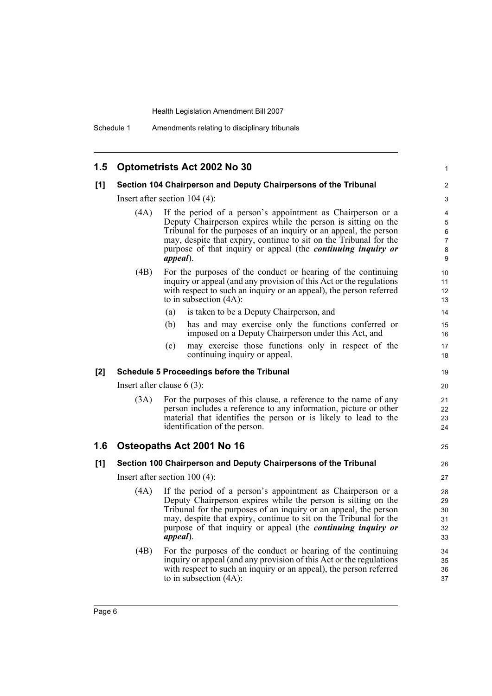| 1.5   |                                 | <b>Optometrists Act 2002 No 30</b>                                                                                                                                                                                                                                                                                                                               | 1                                       |  |  |
|-------|---------------------------------|------------------------------------------------------------------------------------------------------------------------------------------------------------------------------------------------------------------------------------------------------------------------------------------------------------------------------------------------------------------|-----------------------------------------|--|--|
| [1]   |                                 | Section 104 Chairperson and Deputy Chairpersons of the Tribunal                                                                                                                                                                                                                                                                                                  | $\overline{c}$                          |  |  |
|       |                                 | Insert after section $104$ (4):                                                                                                                                                                                                                                                                                                                                  | 3                                       |  |  |
|       | (4A)                            | If the period of a person's appointment as Chairperson or a<br>Deputy Chairperson expires while the person is sitting on the<br>Tribunal for the purposes of an inquiry or an appeal, the person<br>may, despite that expiry, continue to sit on the Tribunal for the<br>purpose of that inquiry or appeal (the <i>continuing inquiry or</i><br><i>appeal</i> ). | 4<br>5<br>6<br>$\overline{7}$<br>8<br>9 |  |  |
|       | (4B)                            | For the purposes of the conduct or hearing of the continuing<br>inquiry or appeal (and any provision of this Act or the regulations<br>with respect to such an inquiry or an appeal), the person referred<br>to in subsection $(4A)$ :                                                                                                                           | 10<br>11<br>12<br>13                    |  |  |
|       |                                 | is taken to be a Deputy Chairperson, and<br>(a)                                                                                                                                                                                                                                                                                                                  | 14                                      |  |  |
|       |                                 | has and may exercise only the functions conferred or<br>(b)<br>imposed on a Deputy Chairperson under this Act, and                                                                                                                                                                                                                                               | 15<br>16                                |  |  |
|       |                                 | may exercise those functions only in respect of the<br>(c)<br>continuing inquiry or appeal.                                                                                                                                                                                                                                                                      | 17<br>18                                |  |  |
| $[2]$ |                                 | <b>Schedule 5 Proceedings before the Tribunal</b>                                                                                                                                                                                                                                                                                                                | 19                                      |  |  |
|       |                                 | Insert after clause $6(3)$ :                                                                                                                                                                                                                                                                                                                                     | 20                                      |  |  |
|       | (3A)                            | For the purposes of this clause, a reference to the name of any<br>person includes a reference to any information, picture or other<br>material that identifies the person or is likely to lead to the<br>identification of the person.                                                                                                                          | 21<br>22<br>23<br>24                    |  |  |
| 1.6   |                                 | Osteopaths Act 2001 No 16                                                                                                                                                                                                                                                                                                                                        | 25                                      |  |  |
| [1]   |                                 | Section 100 Chairperson and Deputy Chairpersons of the Tribunal                                                                                                                                                                                                                                                                                                  | 26                                      |  |  |
|       | Insert after section $100(4)$ : |                                                                                                                                                                                                                                                                                                                                                                  |                                         |  |  |
|       | (4A)                            | If the period of a person's appointment as Chairperson or a<br>Deputy Chairperson expires while the person is sitting on the<br>Tribunal for the purposes of an inquiry or an appeal, the person<br>may, despite that expiry, continue to sit on the Tribunal for the<br>purpose of that inquiry or appeal (the <i>continuing inquiry or</i><br>appeal).         | 28<br>29<br>30<br>31<br>32<br>33        |  |  |
|       | (4B)                            | For the purposes of the conduct or hearing of the continuing<br>inquiry or appeal (and any provision of this Act or the regulations<br>with respect to such an inquiry or an appeal), the person referred<br>to in subsection $(4A)$ :                                                                                                                           | 34<br>35<br>36<br>37                    |  |  |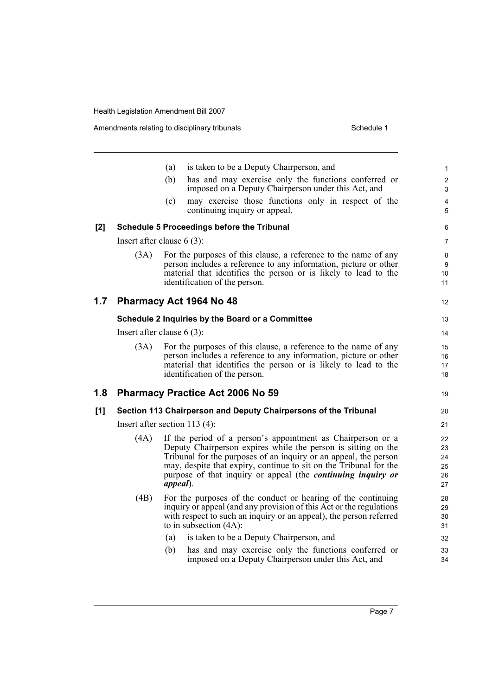Amendments relating to disciplinary tribunals **Schedule 1** Schedule 1

|     |                                 | (a)         | is taken to be a Deputy Chairperson, and                                                                                                                                                                                                                                                                                                     | $\mathbf{1}$                     |
|-----|---------------------------------|-------------|----------------------------------------------------------------------------------------------------------------------------------------------------------------------------------------------------------------------------------------------------------------------------------------------------------------------------------------------|----------------------------------|
|     |                                 | (b)         | has and may exercise only the functions conferred or<br>imposed on a Deputy Chairperson under this Act, and                                                                                                                                                                                                                                  | $\overline{c}$<br>3              |
|     |                                 | (c)         | may exercise those functions only in respect of the<br>continuing inquiry or appeal.                                                                                                                                                                                                                                                         | 4<br>5                           |
| [2] |                                 |             | <b>Schedule 5 Proceedings before the Tribunal</b>                                                                                                                                                                                                                                                                                            | 6                                |
|     | Insert after clause $6(3)$ :    |             |                                                                                                                                                                                                                                                                                                                                              | 7                                |
|     | (3A)                            |             | For the purposes of this clause, a reference to the name of any<br>person includes a reference to any information, picture or other<br>material that identifies the person or is likely to lead to the<br>identification of the person.                                                                                                      | 8<br>9<br>10<br>11               |
| 1.7 | Pharmacy Act 1964 No 48         |             |                                                                                                                                                                                                                                                                                                                                              | 12                               |
|     |                                 |             | Schedule 2 Inquiries by the Board or a Committee                                                                                                                                                                                                                                                                                             | 13                               |
|     | Insert after clause $6(3)$ :    |             |                                                                                                                                                                                                                                                                                                                                              | 14                               |
|     | (3A)                            |             | For the purposes of this clause, a reference to the name of any<br>person includes a reference to any information, picture or other<br>material that identifies the person or is likely to lead to the<br>identification of the person.                                                                                                      | 15<br>16<br>17<br>18             |
| 1.8 |                                 |             | <b>Pharmacy Practice Act 2006 No 59</b>                                                                                                                                                                                                                                                                                                      | 19                               |
| [1] |                                 |             | Section 113 Chairperson and Deputy Chairpersons of the Tribunal                                                                                                                                                                                                                                                                              | 20                               |
|     | Insert after section $113(4)$ : |             |                                                                                                                                                                                                                                                                                                                                              | 21                               |
|     | (4A)                            | $append$ ). | If the period of a person's appointment as Chairperson or a<br>Deputy Chairperson expires while the person is sitting on the<br>Tribunal for the purposes of an inquiry or an appeal, the person<br>may, despite that expiry, continue to sit on the Tribunal for the<br>purpose of that inquiry or appeal (the <i>continuing inquiry or</i> | 22<br>23<br>24<br>25<br>26<br>27 |
|     | (4B)                            |             | For the purposes of the conduct or hearing of the continuing<br>inquiry or appeal (and any provision of this Act or the regulations<br>with respect to such an inquiry or an appeal), the person referred<br>to in subsection $(4A)$ :                                                                                                       | 28<br>29<br>30<br>31             |
|     |                                 | (a)         | is taken to be a Deputy Chairperson, and                                                                                                                                                                                                                                                                                                     | 32                               |
|     |                                 | (b)         | has and may exercise only the functions conferred or<br>imposed on a Deputy Chairperson under this Act, and                                                                                                                                                                                                                                  | 33<br>34                         |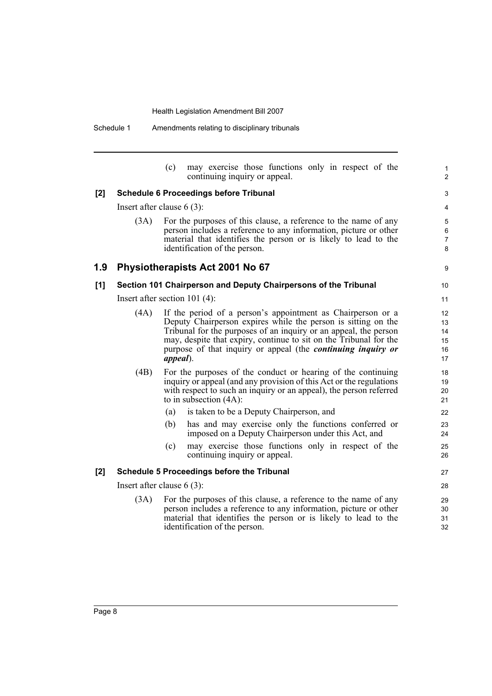(c) may exercise those functions only in respect of the continuing inquiry or appeal.

1  $\overline{2}$ 

9

#### **[2] Schedule 6 Proceedings before Tribunal**

Insert after clause 6 (3):

(3A) For the purposes of this clause, a reference to the name of any person includes a reference to any information, picture or other material that identifies the person or is likely to lead to the identification of the person.

### **1.9 Physiotherapists Act 2001 No 67**

#### **[1] Section 101 Chairperson and Deputy Chairpersons of the Tribunal**

Insert after section 101 (4):

(4A) If the period of a person's appointment as Chairperson or a Deputy Chairperson expires while the person is sitting on the Tribunal for the purposes of an inquiry or an appeal, the person may, despite that expiry, continue to sit on the Tribunal for the purpose of that inquiry or appeal (the *continuing inquiry or appeal*). (4B) For the purposes of the conduct or hearing of the continuing inquiry or appeal (and any provision of this Act or the regulations with respect to such an inquiry or an appeal), the person referred to in subsection (4A): (a) is taken to be a Deputy Chairperson, and (b) has and may exercise only the functions conferred or imposed on a Deputy Chairperson under this Act, and (c) may exercise those functions only in respect of the continuing inquiry or appeal. **[2] Schedule 5 Proceedings before the Tribunal**

Insert after clause 6 (3):

(3A) For the purposes of this clause, a reference to the name of any person includes a reference to any information, picture or other material that identifies the person or is likely to lead to the identification of the person.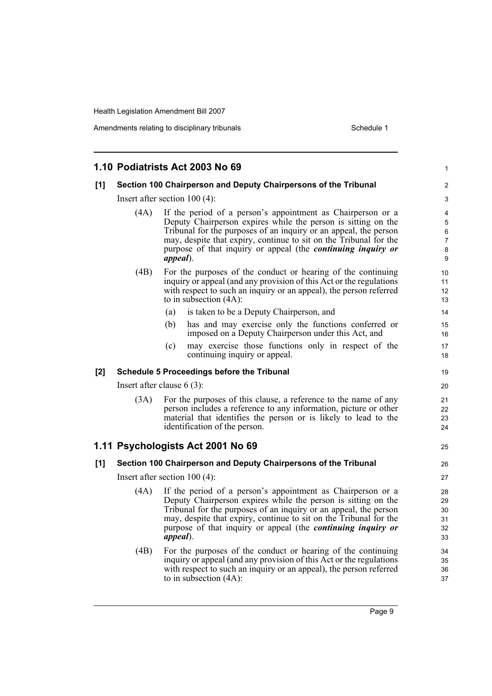Amendments relating to disciplinary tribunals **Schedule 1** Schedule 1

|     |                                                                                                                                                                                                                                                                                                                                                                          | 1.10 Podiatrists Act 2003 No 69                                                                                                                                                                                                                                                                                                                           | 1                                |  |  |
|-----|--------------------------------------------------------------------------------------------------------------------------------------------------------------------------------------------------------------------------------------------------------------------------------------------------------------------------------------------------------------------------|-----------------------------------------------------------------------------------------------------------------------------------------------------------------------------------------------------------------------------------------------------------------------------------------------------------------------------------------------------------|----------------------------------|--|--|
| [1] |                                                                                                                                                                                                                                                                                                                                                                          | Section 100 Chairperson and Deputy Chairpersons of the Tribunal                                                                                                                                                                                                                                                                                           | 2                                |  |  |
|     | Insert after section $100(4)$ :                                                                                                                                                                                                                                                                                                                                          |                                                                                                                                                                                                                                                                                                                                                           |                                  |  |  |
|     | If the period of a person's appointment as Chairperson or a<br>(4A)<br>Deputy Chairperson expires while the person is sitting on the<br>Tribunal for the purposes of an inquiry or an appeal, the person<br>may, despite that expiry, continue to sit on the Tribunal for the<br>purpose of that inquiry or appeal (the <i>continuing inquiry or</i><br><i>appeal</i> ). |                                                                                                                                                                                                                                                                                                                                                           |                                  |  |  |
|     | (4B)                                                                                                                                                                                                                                                                                                                                                                     | For the purposes of the conduct or hearing of the continuing<br>inquiry or appeal (and any provision of this Act or the regulations<br>with respect to such an inquiry or an appeal), the person referred<br>to in subsection $(4A)$ :                                                                                                                    | 10<br>11<br>12<br>13             |  |  |
|     |                                                                                                                                                                                                                                                                                                                                                                          | is taken to be a Deputy Chairperson, and<br>(a)                                                                                                                                                                                                                                                                                                           | 14                               |  |  |
|     |                                                                                                                                                                                                                                                                                                                                                                          | has and may exercise only the functions conferred or<br>(b)<br>imposed on a Deputy Chairperson under this Act, and                                                                                                                                                                                                                                        | 15<br>16                         |  |  |
|     |                                                                                                                                                                                                                                                                                                                                                                          | may exercise those functions only in respect of the<br>(c)<br>continuing inquiry or appeal.                                                                                                                                                                                                                                                               | 17<br>18                         |  |  |
| [2] |                                                                                                                                                                                                                                                                                                                                                                          | <b>Schedule 5 Proceedings before the Tribunal</b>                                                                                                                                                                                                                                                                                                         | 19                               |  |  |
|     | Insert after clause $6(3)$ :                                                                                                                                                                                                                                                                                                                                             |                                                                                                                                                                                                                                                                                                                                                           |                                  |  |  |
|     | (3A)                                                                                                                                                                                                                                                                                                                                                                     | For the purposes of this clause, a reference to the name of any<br>person includes a reference to any information, picture or other<br>material that identifies the person or is likely to lead to the<br>identification of the person.                                                                                                                   | 21<br>22<br>23<br>24             |  |  |
|     |                                                                                                                                                                                                                                                                                                                                                                          | 1.11 Psychologists Act 2001 No 69                                                                                                                                                                                                                                                                                                                         | 25                               |  |  |
| [1] |                                                                                                                                                                                                                                                                                                                                                                          | Section 100 Chairperson and Deputy Chairpersons of the Tribunal                                                                                                                                                                                                                                                                                           | 26                               |  |  |
|     |                                                                                                                                                                                                                                                                                                                                                                          | Insert after section $100(4)$ :                                                                                                                                                                                                                                                                                                                           | 27                               |  |  |
|     | (4A)                                                                                                                                                                                                                                                                                                                                                                     | If the period of a person's appointment as Chairperson or a<br>Deputy Chairperson expires while the person is sitting on the<br>Tribunal for the purposes of an inquiry or an appeal, the person<br>may, despite that expiry, continue to sit on the Tribunal for the<br>purpose of that inquiry or appeal (the continuing inquiry or<br><i>appeal</i> ). | 28<br>29<br>30<br>31<br>32<br>33 |  |  |
|     | (4B)                                                                                                                                                                                                                                                                                                                                                                     | For the purposes of the conduct or hearing of the continuing<br>inquiry or appeal (and any provision of this Act or the regulations<br>with respect to such an inquiry or an appeal), the person referred<br>to in subsection $(4A)$ :                                                                                                                    | 34<br>35<br>36<br>37             |  |  |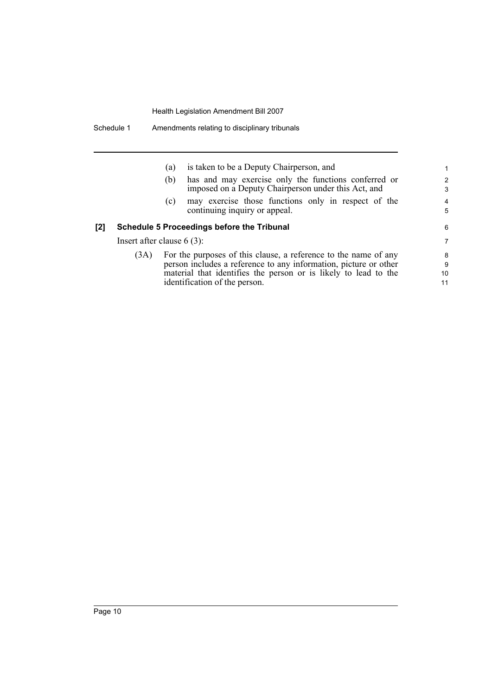|     |                              | (a) | is taken to be a Deputy Chairperson, and                        | 1              |
|-----|------------------------------|-----|-----------------------------------------------------------------|----------------|
|     |                              | (b) | has and may exercise only the functions conferred or            | $\mathcal{P}$  |
|     |                              |     | imposed on a Deputy Chairperson under this Act, and             | 3              |
|     |                              | (c) | may exercise those functions only in respect of the             | $\overline{4}$ |
|     |                              |     | continuing inquiry or appeal.                                   | 5              |
| [2] |                              |     | <b>Schedule 5 Proceedings before the Tribunal</b>               | 6              |
|     | Insert after clause $6(3)$ : |     |                                                                 | 7              |
|     | (3A)                         |     | For the purposes of this clause, a reference to the name of any | 8              |

9 10 11

(3A) For the purposes of this clause, a reference to the name of any person includes a reference to any information, picture or other material that identifies the person or is likely to lead to the identification of the person.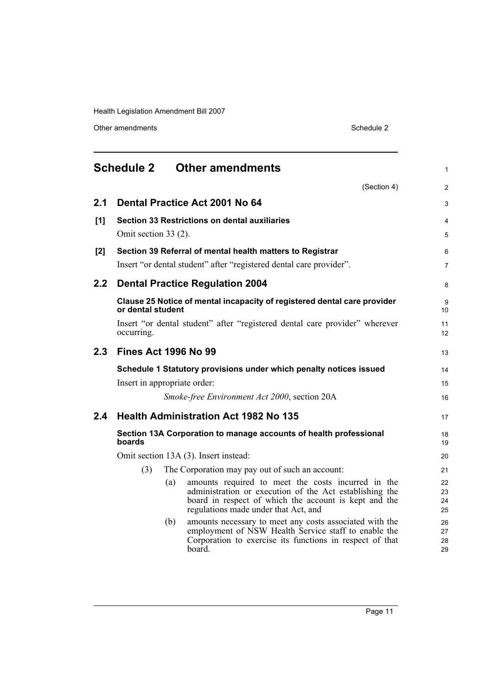Other amendments Schedule 2

<span id="page-18-0"></span>

|     | <b>Schedule 2</b>            |     | <b>Other amendments</b>                                                                                                                                                                                        | $\mathbf{1}$         |
|-----|------------------------------|-----|----------------------------------------------------------------------------------------------------------------------------------------------------------------------------------------------------------------|----------------------|
|     |                              |     | (Section 4)                                                                                                                                                                                                    | 2                    |
| 2.1 |                              |     | Dental Practice Act 2001 No 64                                                                                                                                                                                 | 3                    |
| [1] |                              |     | Section 33 Restrictions on dental auxiliaries                                                                                                                                                                  | $\overline{4}$       |
|     | Omit section 33 (2).         |     |                                                                                                                                                                                                                | $\overline{5}$       |
| [2] |                              |     | Section 39 Referral of mental health matters to Registrar                                                                                                                                                      | 6                    |
|     |                              |     | Insert "or dental student" after "registered dental care provider".                                                                                                                                            | $\overline{7}$       |
| 2.2 |                              |     | <b>Dental Practice Regulation 2004</b>                                                                                                                                                                         | 8                    |
|     | or dental student            |     | Clause 25 Notice of mental incapacity of registered dental care provider                                                                                                                                       | 9<br>10              |
|     | occurring.                   |     | Insert "or dental student" after "registered dental care provider" wherever                                                                                                                                    | 11<br>12             |
| 2.3 | <b>Fines Act 1996 No 99</b>  |     |                                                                                                                                                                                                                | 13                   |
|     |                              |     | Schedule 1 Statutory provisions under which penalty notices issued                                                                                                                                             | 14                   |
|     | Insert in appropriate order: |     |                                                                                                                                                                                                                | 15                   |
|     |                              |     | Smoke-free Environment Act 2000, section 20A                                                                                                                                                                   | 16                   |
| 2.4 |                              |     | <b>Health Administration Act 1982 No 135</b>                                                                                                                                                                   | 17                   |
|     | boards                       |     | Section 13A Corporation to manage accounts of health professional                                                                                                                                              | 18<br>19             |
|     |                              |     | Omit section 13A (3). Insert instead:                                                                                                                                                                          | 20                   |
|     | (3)                          |     | The Corporation may pay out of such an account:                                                                                                                                                                | 21                   |
|     |                              | (a) | amounts required to meet the costs incurred in the<br>administration or execution of the Act establishing the<br>board in respect of which the account is kept and the<br>regulations made under that Act, and | 22<br>23<br>24<br>25 |
|     |                              | (b) | amounts necessary to meet any costs associated with the<br>employment of NSW Health Service staff to enable the<br>Corporation to exercise its functions in respect of that<br>board.                          | 26<br>27<br>28<br>29 |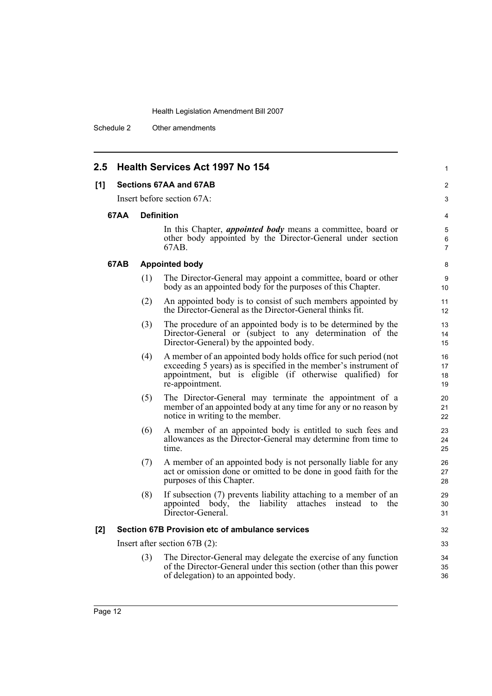Schedule 2 Other amendments

| 2.5         | <b>Health Services Act 1997 No 154</b>                                                                                                                                                                                     | $\mathbf{1}$             |
|-------------|----------------------------------------------------------------------------------------------------------------------------------------------------------------------------------------------------------------------------|--------------------------|
| [1]         | Sections 67AA and 67AB                                                                                                                                                                                                     | 2                        |
|             | Insert before section 67A:                                                                                                                                                                                                 | 3                        |
| <b>67AA</b> | <b>Definition</b>                                                                                                                                                                                                          | 4                        |
|             | In this Chapter, <i>appointed body</i> means a committee, board or<br>other body appointed by the Director-General under section<br>67AB.                                                                                  | 5<br>6<br>$\overline{7}$ |
| 67AB        | <b>Appointed body</b>                                                                                                                                                                                                      | 8                        |
|             | (1)<br>The Director-General may appoint a committee, board or other<br>body as an appointed body for the purposes of this Chapter.                                                                                         | 9<br>10                  |
|             | An appointed body is to consist of such members appointed by<br>(2)<br>the Director-General as the Director-General thinks fit.                                                                                            | 11<br>12                 |
|             | The procedure of an appointed body is to be determined by the<br>(3)<br>Director-General or (subject to any determination of the<br>Director-General) by the appointed body.                                               | 13<br>14<br>15           |
|             | A member of an appointed body holds office for such period (not<br>(4)<br>exceeding 5 years) as is specified in the member's instrument of<br>appointment, but is eligible (if otherwise qualified) for<br>re-appointment. | 16<br>17<br>18<br>19     |
|             | The Director-General may terminate the appointment of a<br>(5)<br>member of an appointed body at any time for any or no reason by<br>notice in writing to the member.                                                      | 20<br>21<br>22           |
|             | A member of an appointed body is entitled to such fees and<br>(6)<br>allowances as the Director-General may determine from time to<br>time.                                                                                | 23<br>24<br>25           |
|             | A member of an appointed body is not personally liable for any<br>(7)<br>act or omission done or omitted to be done in good faith for the<br>purposes of this Chapter.                                                     | 26<br>27<br>28           |
|             | (8)<br>If subsection (7) prevents liability attaching to a member of an<br>the liability attaches instead to the<br>appointed body,<br>Director-General.                                                                   | 29<br>30<br>31           |
| [2]         | Section 67B Provision etc of ambulance services                                                                                                                                                                            | 32                       |
|             | Insert after section $67B(2)$ :                                                                                                                                                                                            | 33                       |
|             | The Director-General may delegate the exercise of any function<br>(3)<br>of the Director-General under this section (other than this power<br>of delegation) to an appointed body.                                         | 34<br>35<br>36           |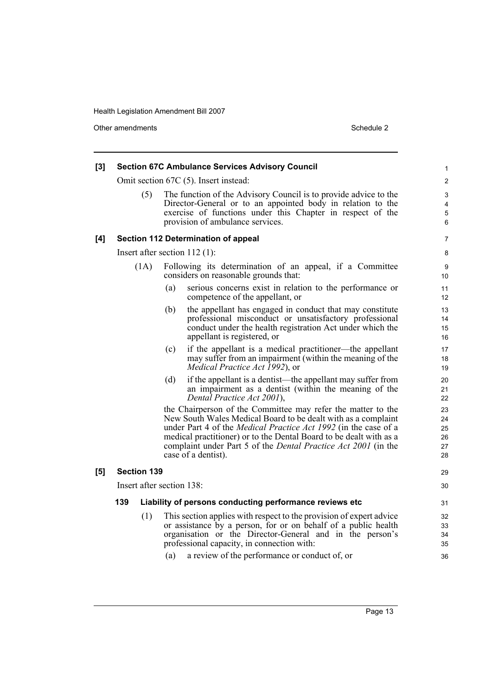Other amendments Schedule 2

| [3] |                    | <b>Section 67C Ambulance Services Advisory Council</b>                                                                                                                                                                                                                                                                                                                        | 1                                |
|-----|--------------------|-------------------------------------------------------------------------------------------------------------------------------------------------------------------------------------------------------------------------------------------------------------------------------------------------------------------------------------------------------------------------------|----------------------------------|
|     |                    | Omit section 67C (5). Insert instead:                                                                                                                                                                                                                                                                                                                                         | $\overline{c}$                   |
|     | (5)                | The function of the Advisory Council is to provide advice to the<br>Director-General or to an appointed body in relation to the<br>exercise of functions under this Chapter in respect of the<br>provision of ambulance services.                                                                                                                                             | 3<br>4<br>5<br>6                 |
| [4] |                    | Section 112 Determination of appeal                                                                                                                                                                                                                                                                                                                                           | 7                                |
|     |                    | Insert after section $112$ (1):                                                                                                                                                                                                                                                                                                                                               | 8                                |
|     | (1A)               | Following its determination of an appeal, if a Committee<br>considers on reasonable grounds that:                                                                                                                                                                                                                                                                             | 9<br>10                          |
|     |                    | serious concerns exist in relation to the performance or<br>(a)<br>competence of the appellant, or                                                                                                                                                                                                                                                                            | 11<br>12                         |
|     |                    | (b)<br>the appellant has engaged in conduct that may constitute<br>professional misconduct or unsatisfactory professional<br>conduct under the health registration Act under which the<br>appellant is registered, or                                                                                                                                                         | 13<br>14<br>15<br>16             |
|     |                    | if the appellant is a medical practitioner—the appellant<br>(c)<br>may suffer from an impairment (within the meaning of the<br><i>Medical Practice Act 1992</i> ), or                                                                                                                                                                                                         | 17<br>18<br>19                   |
|     |                    | (d)<br>if the appellant is a dentist—the appellant may suffer from<br>an impairment as a dentist (within the meaning of the<br>Dental Practice Act 2001),                                                                                                                                                                                                                     | 20<br>21<br>22                   |
|     |                    | the Chairperson of the Committee may refer the matter to the<br>New South Wales Medical Board to be dealt with as a complaint<br>under Part 4 of the <i>Medical Practice Act 1992</i> (in the case of a<br>medical practitioner) or to the Dental Board to be dealt with as a<br>complaint under Part 5 of the <i>Dental Practice Act 2001</i> (in the<br>case of a dentist). | 23<br>24<br>25<br>26<br>27<br>28 |
| [5] | <b>Section 139</b> |                                                                                                                                                                                                                                                                                                                                                                               | 29                               |
|     |                    | Insert after section 138:                                                                                                                                                                                                                                                                                                                                                     | 30                               |
|     | 139                | Liability of persons conducting performance reviews etc                                                                                                                                                                                                                                                                                                                       | 31                               |
|     | (1)                | This section applies with respect to the provision of expert advice<br>or assistance by a person, for or on behalf of a public health<br>organisation or the Director-General and in the person's<br>professional capacity, in connection with:<br>a review of the performance or conduct of, or<br>(a)                                                                       | 32<br>33<br>34<br>35<br>36       |
|     |                    |                                                                                                                                                                                                                                                                                                                                                                               |                                  |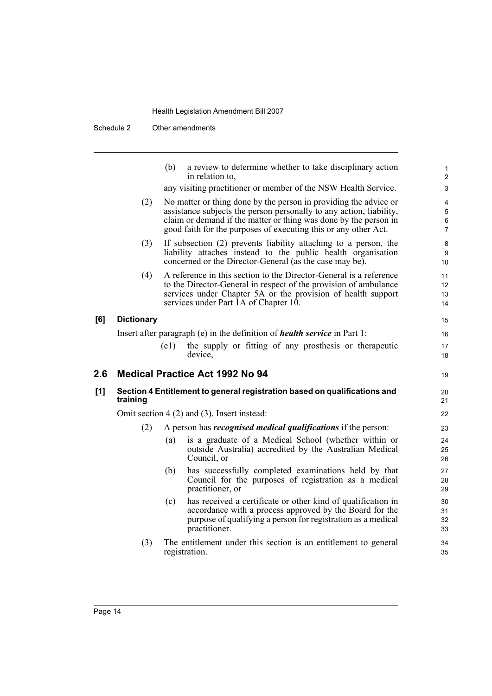Schedule 2 Other amendments

|     |                   | a review to determine whether to take disciplinary action<br>(b)<br>in relation to,                                                                                                                                                                                            | 1<br>$\overline{c}$           |
|-----|-------------------|--------------------------------------------------------------------------------------------------------------------------------------------------------------------------------------------------------------------------------------------------------------------------------|-------------------------------|
|     |                   | any visiting practitioner or member of the NSW Health Service.                                                                                                                                                                                                                 | 3                             |
|     | (2)               | No matter or thing done by the person in providing the advice or<br>assistance subjects the person personally to any action, liability,<br>claim or demand if the matter or thing was done by the person in<br>good faith for the purposes of executing this or any other Act. | 4<br>5<br>6<br>$\overline{7}$ |
|     | (3)               | If subsection (2) prevents liability attaching to a person, the<br>liability attaches instead to the public health organisation<br>concerned or the Director-General (as the case may be).                                                                                     | 8<br>9<br>10                  |
|     | (4)               | A reference in this section to the Director-General is a reference<br>to the Director-General in respect of the provision of ambulance<br>services under Chapter 5A or the provision of health support<br>services under Part 1A of Chapter 10.                                | 11<br>12<br>13<br>14          |
| [6] | <b>Dictionary</b> |                                                                                                                                                                                                                                                                                | 15                            |
|     |                   | Insert after paragraph (e) in the definition of <i>health service</i> in Part 1:                                                                                                                                                                                               | 16                            |
|     |                   | the supply or fitting of any prosthesis or therapeutic<br>(e1)<br>device,                                                                                                                                                                                                      | 17<br>18                      |
| 2.6 |                   | <b>Medical Practice Act 1992 No 94</b>                                                                                                                                                                                                                                         | 19                            |
| [1] | training          | Section 4 Entitlement to general registration based on qualifications and                                                                                                                                                                                                      | 20<br>21                      |
|     |                   | Omit section $4(2)$ and $(3)$ . Insert instead:                                                                                                                                                                                                                                | 22                            |
|     | (2)               | A person has <i>recognised medical qualifications</i> if the person:                                                                                                                                                                                                           | 23                            |
|     |                   | is a graduate of a Medical School (whether within or<br>(a)<br>outside Australia) accredited by the Australian Medical<br>Council, or                                                                                                                                          | 24<br>25<br>26                |
|     |                   | has successfully completed examinations held by that<br>(b)<br>Council for the purposes of registration as a medical<br>practitioner, or                                                                                                                                       | 27<br>28<br>29                |
|     |                   | has received a certificate or other kind of qualification in<br>(c)<br>accordance with a process approved by the Board for the<br>purpose of qualifying a person for registration as a medical<br>practitioner.                                                                | 30<br>31<br>32<br>33          |
|     | (3)               | The entitlement under this section is an entitlement to general<br>registration.                                                                                                                                                                                               | 34<br>35                      |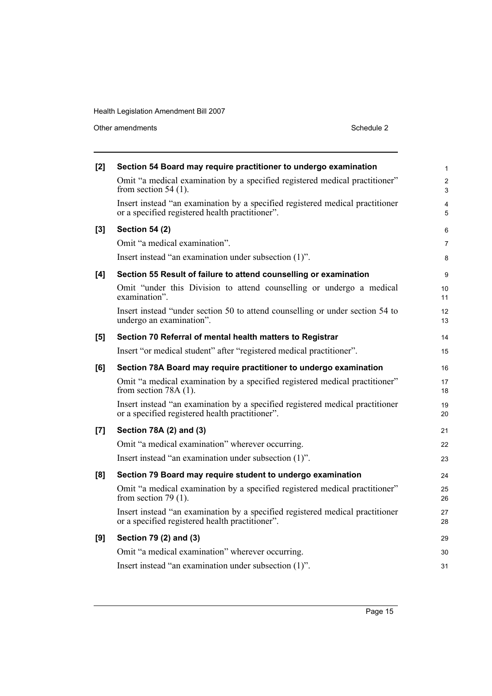Other amendments Schedule 2

| [2]   | Section 54 Board may require practitioner to undergo examination                                                                 | 1                   |
|-------|----------------------------------------------------------------------------------------------------------------------------------|---------------------|
|       | Omit "a medical examination by a specified registered medical practitioner"<br>from section $54(1)$ .                            | $\overline{c}$<br>3 |
|       | Insert instead "an examination by a specified registered medical practitioner<br>or a specified registered health practitioner". | 4<br>5              |
| [3]   | <b>Section 54 (2)</b>                                                                                                            | 6                   |
|       | Omit "a medical examination".                                                                                                    | 7                   |
|       | Insert instead "an examination under subsection (1)".                                                                            | 8                   |
| [4]   | Section 55 Result of failure to attend counselling or examination                                                                | 9                   |
|       | Omit "under this Division to attend counselling or undergo a medical<br>examination".                                            | 10<br>11            |
|       | Insert instead "under section 50 to attend counselling or under section 54 to<br>undergo an examination".                        | 12<br>13            |
| [5]   | Section 70 Referral of mental health matters to Registrar                                                                        | 14                  |
|       | Insert "or medical student" after "registered medical practitioner".                                                             | 15                  |
| [6]   | Section 78A Board may require practitioner to undergo examination                                                                | 16                  |
|       | Omit "a medical examination by a specified registered medical practitioner"<br>from section 78A (1).                             | 17<br>18            |
|       | Insert instead "an examination by a specified registered medical practitioner<br>or a specified registered health practitioner". | 19<br>20            |
| $[7]$ | Section 78A (2) and (3)                                                                                                          | 21                  |
|       | Omit "a medical examination" wherever occurring.                                                                                 | 22                  |
|       | Insert instead "an examination under subsection (1)".                                                                            | 23                  |
| [8]   | Section 79 Board may require student to undergo examination                                                                      | 24                  |
|       | Omit "a medical examination by a specified registered medical practitioner"<br>from section 79 $(1)$ .                           | 25<br>26            |
|       | Insert instead "an examination by a specified registered medical practitioner<br>or a specified registered health practitioner". | 27<br>28            |
| [9]   | Section 79 (2) and (3)                                                                                                           | 29                  |
|       | Omit "a medical examination" wherever occurring.                                                                                 | 30                  |
|       | Insert instead "an examination under subsection (1)".                                                                            | 31                  |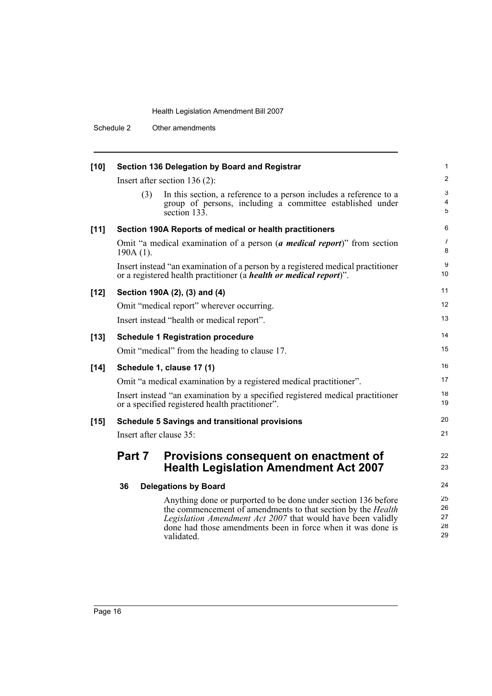Schedule 2 Other amendments

| $[10]$ | Section 136 Delegation by Board and Registrar                                                                                                                 |                                                                                                                                                                                                                                                                                   |                            |  |  |  |
|--------|---------------------------------------------------------------------------------------------------------------------------------------------------------------|-----------------------------------------------------------------------------------------------------------------------------------------------------------------------------------------------------------------------------------------------------------------------------------|----------------------------|--|--|--|
|        | Insert after section $136(2)$ :                                                                                                                               |                                                                                                                                                                                                                                                                                   |                            |  |  |  |
|        | (3)                                                                                                                                                           | In this section, a reference to a person includes a reference to a<br>group of persons, including a committee established under<br>section 133.                                                                                                                                   | 3<br>$\overline{4}$<br>5   |  |  |  |
| $[11]$ |                                                                                                                                                               | Section 190A Reports of medical or health practitioners                                                                                                                                                                                                                           | 6                          |  |  |  |
|        | $190A(1)$ .                                                                                                                                                   | Omit "a medical examination of a person (a <i>medical report</i> )" from section                                                                                                                                                                                                  | $\overline{7}$<br>8        |  |  |  |
|        | Insert instead "an examination of a person by a registered medical practitioner<br>or a registered health practitioner (a <i>health or medical report</i> )". |                                                                                                                                                                                                                                                                                   |                            |  |  |  |
| $[12]$ | Section 190A (2), (3) and (4)                                                                                                                                 |                                                                                                                                                                                                                                                                                   |                            |  |  |  |
|        |                                                                                                                                                               | Omit "medical report" wherever occurring.                                                                                                                                                                                                                                         | 12                         |  |  |  |
|        |                                                                                                                                                               | Insert instead "health or medical report".                                                                                                                                                                                                                                        | 13                         |  |  |  |
| $[13]$ |                                                                                                                                                               | <b>Schedule 1 Registration procedure</b>                                                                                                                                                                                                                                          | 14                         |  |  |  |
|        |                                                                                                                                                               | Omit "medical" from the heading to clause 17.                                                                                                                                                                                                                                     | 15                         |  |  |  |
| $[14]$ |                                                                                                                                                               | Schedule 1, clause 17 (1)                                                                                                                                                                                                                                                         | 16                         |  |  |  |
|        |                                                                                                                                                               | Omit "a medical examination by a registered medical practitioner".                                                                                                                                                                                                                | 17                         |  |  |  |
|        | Insert instead "an examination by a specified registered medical practitioner<br>or a specified registered health practitioner".                              |                                                                                                                                                                                                                                                                                   |                            |  |  |  |
| $[15]$ |                                                                                                                                                               | <b>Schedule 5 Savings and transitional provisions</b>                                                                                                                                                                                                                             | 20                         |  |  |  |
|        | Insert after clause 35:                                                                                                                                       |                                                                                                                                                                                                                                                                                   | 21                         |  |  |  |
|        | Part 7                                                                                                                                                        | Provisions consequent on enactment of<br><b>Health Legislation Amendment Act 2007</b>                                                                                                                                                                                             | 22<br>23                   |  |  |  |
|        | 36                                                                                                                                                            | <b>Delegations by Board</b>                                                                                                                                                                                                                                                       | 24                         |  |  |  |
|        |                                                                                                                                                               | Anything done or purported to be done under section 136 before<br>the commencement of amendments to that section by the <i>Health</i><br>Legislation Amendment Act 2007 that would have been validly<br>done had those amendments been in force when it was done is<br>validated. | 25<br>26<br>27<br>28<br>29 |  |  |  |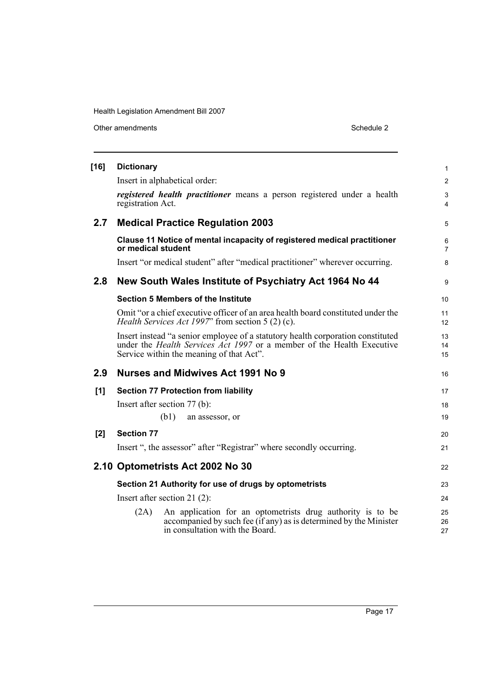Other amendments Schedule 2

| $[16]$ | <b>Dictionary</b>                                     |                                                                                                                                                                                                              | $\mathbf{1}$        |  |  |
|--------|-------------------------------------------------------|--------------------------------------------------------------------------------------------------------------------------------------------------------------------------------------------------------------|---------------------|--|--|
|        |                                                       | Insert in alphabetical order:                                                                                                                                                                                | $\overline{2}$      |  |  |
|        | registration Act.                                     | registered health practitioner means a person registered under a health                                                                                                                                      | $\mathfrak{S}$<br>4 |  |  |
| 2.7    |                                                       | <b>Medical Practice Regulation 2003</b>                                                                                                                                                                      | 5                   |  |  |
|        | or medical student                                    | Clause 11 Notice of mental incapacity of registered medical practitioner                                                                                                                                     | 6<br>$\overline{7}$ |  |  |
|        |                                                       | Insert "or medical student" after "medical practitioner" wherever occurring.                                                                                                                                 | 8                   |  |  |
| 2.8    |                                                       | New South Wales Institute of Psychiatry Act 1964 No 44                                                                                                                                                       | 9                   |  |  |
|        |                                                       | <b>Section 5 Members of the Institute</b>                                                                                                                                                                    | 10                  |  |  |
|        |                                                       | Omit "or a chief executive officer of an area health board constituted under the<br>Health Services Act 1997" from section 5 (2) (c).                                                                        | 11<br>12            |  |  |
|        |                                                       | Insert instead "a senior employee of a statutory health corporation constituted<br>under the <i>Health Services Act 1997</i> or a member of the Health Executive<br>Service within the meaning of that Act". | 13<br>14<br>15      |  |  |
| 2.9    |                                                       | <b>Nurses and Midwives Act 1991 No 9</b>                                                                                                                                                                     | 16                  |  |  |
| [1]    |                                                       | <b>Section 77 Protection from liability</b>                                                                                                                                                                  | 17                  |  |  |
|        |                                                       | Insert after section 77 (b):                                                                                                                                                                                 | 18                  |  |  |
|        |                                                       | (b1)<br>an assessor, or                                                                                                                                                                                      | 19                  |  |  |
| [2]    | <b>Section 77</b>                                     |                                                                                                                                                                                                              | 20                  |  |  |
|        |                                                       | Insert ", the assessor" after "Registrar" where secondly occurring.                                                                                                                                          | 21                  |  |  |
|        |                                                       | 2.10 Optometrists Act 2002 No 30                                                                                                                                                                             | 22                  |  |  |
|        | Section 21 Authority for use of drugs by optometrists |                                                                                                                                                                                                              |                     |  |  |
|        | Insert after section 21 $(2)$ :                       |                                                                                                                                                                                                              |                     |  |  |
|        | (2A)                                                  | An application for an optometrists drug authority is to be<br>accompanied by such fee (if any) as is determined by the Minister<br>in consultation with the Board.                                           | 25<br>26<br>27      |  |  |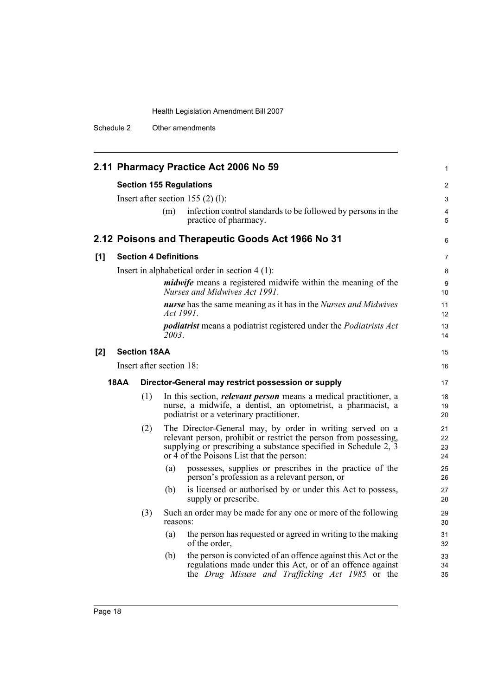Schedule 2 Other amendments

|      |                              |           | 2.11 Pharmacy Practice Act 2006 No 59                                                                                                                                                                                                          | 1                    |  |
|------|------------------------------|-----------|------------------------------------------------------------------------------------------------------------------------------------------------------------------------------------------------------------------------------------------------|----------------------|--|
|      |                              |           | <b>Section 155 Regulations</b>                                                                                                                                                                                                                 | $\overline{2}$       |  |
|      |                              |           | Insert after section $155(2)(1)$ :                                                                                                                                                                                                             | 3                    |  |
|      |                              | (m)       | infection control standards to be followed by persons in the<br>practice of pharmacy.                                                                                                                                                          | 4<br>5               |  |
|      |                              |           | 2.12 Poisons and Therapeutic Goods Act 1966 No 31                                                                                                                                                                                              | 6                    |  |
| [1]  | <b>Section 4 Definitions</b> |           |                                                                                                                                                                                                                                                | $\overline{7}$       |  |
|      |                              |           | Insert in alphabetical order in section $4(1)$ :                                                                                                                                                                                               | 8                    |  |
|      |                              |           | <i>midwife</i> means a registered midwife within the meaning of the<br>Nurses and Midwives Act 1991.                                                                                                                                           | 9<br>10              |  |
|      |                              | Act 1991. | nurse has the same meaning as it has in the Nurses and Midwives                                                                                                                                                                                | 11<br>12             |  |
|      |                              | 2003.     | <i>podiatrist</i> means a podiatrist registered under the <i>Podiatrists Act</i>                                                                                                                                                               | 13<br>14             |  |
| [2]  | <b>Section 18AA</b>          |           |                                                                                                                                                                                                                                                | 15                   |  |
|      | Insert after section 18:     |           |                                                                                                                                                                                                                                                |                      |  |
| 18AA |                              |           | Director-General may restrict possession or supply                                                                                                                                                                                             | 17                   |  |
|      | (1)                          |           | In this section, <i>relevant person</i> means a medical practitioner, a<br>nurse, a midwife, a dentist, an optometrist, a pharmacist, a<br>podiatrist or a veterinary practitioner.                                                            | 18<br>19<br>20       |  |
|      | (2)                          |           | The Director-General may, by order in writing served on a<br>relevant person, prohibit or restrict the person from possessing,<br>supplying or prescribing a substance specified in Schedule 2, 3<br>or 4 of the Poisons List that the person: | 21<br>22<br>23<br>24 |  |
|      |                              | (a)       | possesses, supplies or prescribes in the practice of the<br>person's profession as a relevant person, or                                                                                                                                       | 25<br>26             |  |
|      |                              | (b)       | is licensed or authorised by or under this Act to possess,<br>supply or prescribe.                                                                                                                                                             | 27<br>28             |  |
|      | (3)                          | reasons:  | Such an order may be made for any one or more of the following                                                                                                                                                                                 | 29<br>30             |  |
|      |                              | (a)       | the person has requested or agreed in writing to the making<br>of the order,                                                                                                                                                                   | 31<br>32             |  |
|      |                              | (b)       | the person is convicted of an offence against this Act or the<br>regulations made under this Act, or of an offence against<br>the Drug Misuse and Trafficking Act 1985 or the                                                                  | 33<br>34<br>35       |  |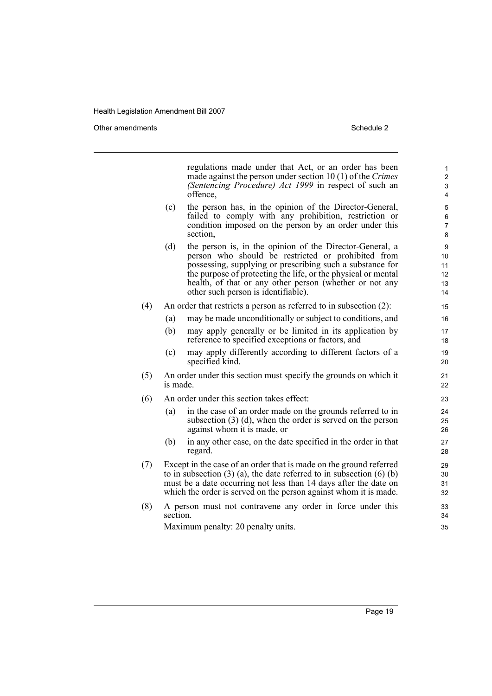Other amendments **Schedule 2** and 3 and 3 and 3 and 3 and 3 and 3 and 3 and 3 and 3 and 3 and 3 and 3 and 3 and 3 and 3 and 3 and 3 and 3 and 3 and 3 and 3 and 3 and 3 and 3 and 3 and 3 and 3 and 3 and 3 and 3 and 3 and 3

regulations made under that Act, or an order has been made against the person under section 10 (1) of the *Crimes (Sentencing Procedure) Act 1999* in respect of such an offence, (c) the person has, in the opinion of the Director-General, failed to comply with any prohibition, restriction or condition imposed on the person by an order under this section, (d) the person is, in the opinion of the Director-General, a person who should be restricted or prohibited from possessing, supplying or prescribing such a substance for the purpose of protecting the life, or the physical or mental health, of that or any other person (whether or not any other such person is identifiable). (4) An order that restricts a person as referred to in subsection (2): (a) may be made unconditionally or subject to conditions, and (b) may apply generally or be limited in its application by reference to specified exceptions or factors, and (c) may apply differently according to different factors of a specified kind. (5) An order under this section must specify the grounds on which it is made. (6) An order under this section takes effect: (a) in the case of an order made on the grounds referred to in subsection (3) (d), when the order is served on the person against whom it is made, or (b) in any other case, on the date specified in the order in that regard. (7) Except in the case of an order that is made on the ground referred to in subsection  $(3)$  (a), the date referred to in subsection  $(6)$  (b) must be a date occurring not less than 14 days after the date on which the order is served on the person against whom it is made. (8) A person must not contravene any order in force under this section. Maximum penalty: 20 penalty units. 1 2 3 4 5 6 7 8  $\alpha$ 10 11 12 13 14 15 16 17 18 19 20 21 22 23 24 25 26 27 28  $29$ 30 31 32 33 34 35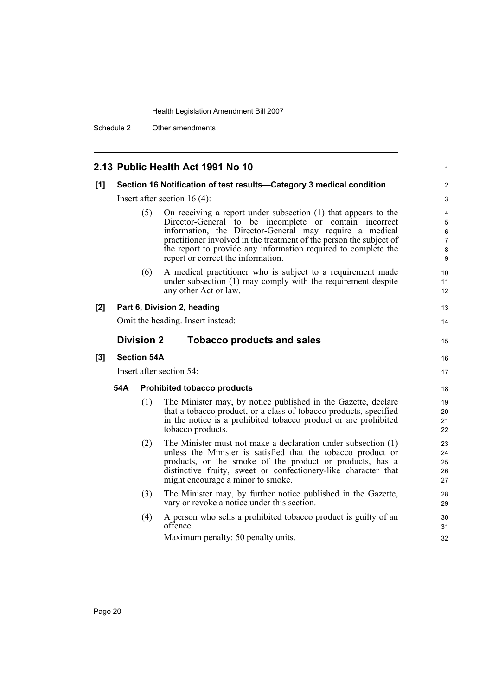Schedule 2 Other amendments

# **2.13 Public Health Act 1991 No 10**

|       |                          |                                    | 2.13 Public Health Act 1991 No 10                                                                                                                                                                                                                                                                                                                                  | $\mathbf{1}$                                                           |  |
|-------|--------------------------|------------------------------------|--------------------------------------------------------------------------------------------------------------------------------------------------------------------------------------------------------------------------------------------------------------------------------------------------------------------------------------------------------------------|------------------------------------------------------------------------|--|
| [1]   |                          |                                    | Section 16 Notification of test results-Category 3 medical condition                                                                                                                                                                                                                                                                                               | 2                                                                      |  |
|       |                          | Insert after section $16(4)$ :     |                                                                                                                                                                                                                                                                                                                                                                    |                                                                        |  |
|       |                          | (5)                                | On receiving a report under subsection (1) that appears to the<br>Director-General to be incomplete or contain incorrect<br>information, the Director-General may require a medical<br>practitioner involved in the treatment of the person the subject of<br>the report to provide any information required to complete the<br>report or correct the information. | 4<br>$\mathbf 5$<br>6<br>$\overline{7}$<br>$\bf 8$<br>$\boldsymbol{9}$ |  |
|       |                          | (6)                                | A medical practitioner who is subject to a requirement made<br>under subsection (1) may comply with the requirement despite<br>any other Act or law.                                                                                                                                                                                                               | 10<br>11<br>12                                                         |  |
| [2]   |                          |                                    | Part 6, Division 2, heading                                                                                                                                                                                                                                                                                                                                        | 13                                                                     |  |
|       |                          |                                    | Omit the heading. Insert instead:                                                                                                                                                                                                                                                                                                                                  | 14                                                                     |  |
|       |                          | <b>Division 2</b>                  | <b>Tobacco products and sales</b>                                                                                                                                                                                                                                                                                                                                  | 15                                                                     |  |
| $[3]$ |                          | <b>Section 54A</b>                 |                                                                                                                                                                                                                                                                                                                                                                    | 16                                                                     |  |
|       | Insert after section 54: |                                    |                                                                                                                                                                                                                                                                                                                                                                    |                                                                        |  |
|       | 54A                      | <b>Prohibited tobacco products</b> |                                                                                                                                                                                                                                                                                                                                                                    |                                                                        |  |
|       |                          | (1)                                | The Minister may, by notice published in the Gazette, declare<br>that a tobacco product, or a class of tobacco products, specified<br>in the notice is a prohibited tobacco product or are prohibited<br>tobacco products.                                                                                                                                         | 19<br>20<br>21<br>22                                                   |  |
|       |                          | (2)                                | The Minister must not make a declaration under subsection (1)<br>unless the Minister is satisfied that the tobacco product or<br>products, or the smoke of the product or products, has a<br>distinctive fruity, sweet or confectionery-like character that<br>might encourage a minor to smoke.                                                                   | 23<br>24<br>25<br>26<br>27                                             |  |
|       |                          | (3)                                | The Minister may, by further notice published in the Gazette,<br>vary or revoke a notice under this section.                                                                                                                                                                                                                                                       | 28<br>29                                                               |  |
|       |                          | (4)                                | A person who sells a prohibited tobacco product is guilty of an<br>offence.                                                                                                                                                                                                                                                                                        | 30<br>31                                                               |  |
|       |                          |                                    | Maximum penalty: 50 penalty units.                                                                                                                                                                                                                                                                                                                                 | 32                                                                     |  |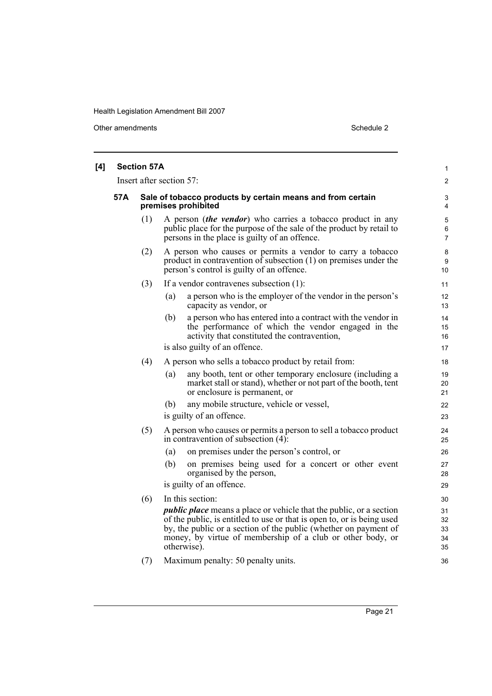Other amendments Schedule 2

| [4] |     | <b>Section 57A</b>       |                                                                                                                                                                                                                                                                                                       | 1                          |  |
|-----|-----|--------------------------|-------------------------------------------------------------------------------------------------------------------------------------------------------------------------------------------------------------------------------------------------------------------------------------------------------|----------------------------|--|
|     |     | Insert after section 57: |                                                                                                                                                                                                                                                                                                       |                            |  |
|     | 57A |                          | Sale of tobacco products by certain means and from certain<br>premises prohibited                                                                                                                                                                                                                     | 3<br>4                     |  |
|     |     | (1)                      | A person <i>(the vendor)</i> who carries a tobacco product in any<br>public place for the purpose of the sale of the product by retail to<br>persons in the place is guilty of an offence.                                                                                                            | 5<br>6<br>7                |  |
|     |     | (2)                      | A person who causes or permits a vendor to carry a tobacco<br>product in contravention of subsection $(1)$ on premises under the<br>person's control is guilty of an offence.                                                                                                                         | 8<br>9<br>10               |  |
|     |     | (3)                      | If a vendor contravenes subsection (1):                                                                                                                                                                                                                                                               | 11                         |  |
|     |     |                          | a person who is the employer of the vendor in the person's<br>(a)<br>capacity as vendor, or                                                                                                                                                                                                           | 12<br>13                   |  |
|     |     |                          | (b)<br>a person who has entered into a contract with the vendor in<br>the performance of which the vendor engaged in the<br>activity that constituted the contravention,                                                                                                                              | 14<br>15<br>16             |  |
|     |     |                          | is also guilty of an offence.                                                                                                                                                                                                                                                                         | 17                         |  |
|     |     | (4)                      | A person who sells a tobacco product by retail from:                                                                                                                                                                                                                                                  | 18                         |  |
|     |     |                          | any booth, tent or other temporary enclosure (including a<br>(a)<br>market stall or stand), whether or not part of the booth, tent<br>or enclosure is permanent, or                                                                                                                                   | 19<br>20<br>21             |  |
|     |     |                          | any mobile structure, vehicle or vessel,<br>(b)                                                                                                                                                                                                                                                       | 22                         |  |
|     |     |                          | is guilty of an offence.                                                                                                                                                                                                                                                                              | 23                         |  |
|     |     | (5)                      | A person who causes or permits a person to sell a tobacco product<br>in contravention of subsection $(4)$ :                                                                                                                                                                                           | 24<br>25                   |  |
|     |     |                          | (a)<br>on premises under the person's control, or                                                                                                                                                                                                                                                     | 26                         |  |
|     |     |                          | (b)<br>on premises being used for a concert or other event<br>organised by the person,                                                                                                                                                                                                                | 27<br>28                   |  |
|     |     |                          | is guilty of an offence.                                                                                                                                                                                                                                                                              | 29                         |  |
|     |     | (6)                      | In this section:                                                                                                                                                                                                                                                                                      | 30                         |  |
|     |     |                          | <i>public place</i> means a place or vehicle that the public, or a section<br>of the public, is entitled to use or that is open to, or is being used<br>by, the public or a section of the public (whether on payment of<br>money, by virtue of membership of a club or other body, or<br>otherwise). | 31<br>32<br>33<br>34<br>35 |  |
|     |     | (7)                      | Maximum penalty: 50 penalty units.                                                                                                                                                                                                                                                                    | 36                         |  |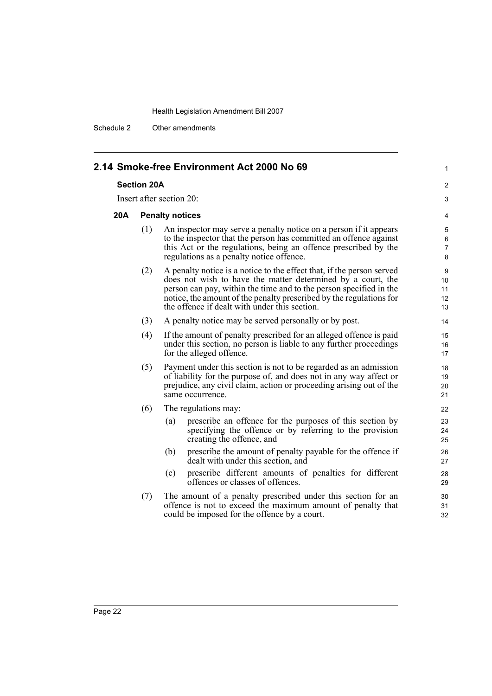Schedule 2 Other amendments

|     |                                                                                                                                                                                                                                                                                                                                           | 2.14 Smoke-free Environment Act 2000 No 69                                                                                                                                                                                                            | 1                |  |  |
|-----|-------------------------------------------------------------------------------------------------------------------------------------------------------------------------------------------------------------------------------------------------------------------------------------------------------------------------------------------|-------------------------------------------------------------------------------------------------------------------------------------------------------------------------------------------------------------------------------------------------------|------------------|--|--|
|     | <b>Section 20A</b>                                                                                                                                                                                                                                                                                                                        |                                                                                                                                                                                                                                                       |                  |  |  |
|     | Insert after section 20:                                                                                                                                                                                                                                                                                                                  |                                                                                                                                                                                                                                                       |                  |  |  |
| 20A | <b>Penalty notices</b>                                                                                                                                                                                                                                                                                                                    |                                                                                                                                                                                                                                                       |                  |  |  |
|     | (1)                                                                                                                                                                                                                                                                                                                                       | An inspector may serve a penalty notice on a person if it appears<br>to the inspector that the person has committed an offence against<br>this Act or the regulations, being an offence prescribed by the<br>regulations as a penalty notice offence. | 5<br>6<br>7<br>8 |  |  |
|     | (2)<br>A penalty notice is a notice to the effect that, if the person served<br>does not wish to have the matter determined by a court, the<br>person can pay, within the time and to the person specified in the<br>notice, the amount of the penalty prescribed by the regulations for<br>the offence if dealt with under this section. |                                                                                                                                                                                                                                                       |                  |  |  |
|     | (3)<br>A penalty notice may be served personally or by post.                                                                                                                                                                                                                                                                              |                                                                                                                                                                                                                                                       |                  |  |  |
|     | (4)                                                                                                                                                                                                                                                                                                                                       | If the amount of penalty prescribed for an alleged offence is paid<br>under this section, no person is liable to any further proceedings<br>for the alleged offence.                                                                                  |                  |  |  |
|     | (5)<br>Payment under this section is not to be regarded as an admission<br>of liability for the purpose of, and does not in any way affect or<br>prejudice, any civil claim, action or proceeding arising out of the<br>same occurrence.                                                                                                  |                                                                                                                                                                                                                                                       |                  |  |  |
|     | (6)                                                                                                                                                                                                                                                                                                                                       | The regulations may:                                                                                                                                                                                                                                  | 22               |  |  |
|     |                                                                                                                                                                                                                                                                                                                                           | prescribe an offence for the purposes of this section by<br>(a)<br>specifying the offence or by referring to the provision<br>creating the offence, and                                                                                               | 23<br>24<br>25   |  |  |
|     |                                                                                                                                                                                                                                                                                                                                           | prescribe the amount of penalty payable for the offence if<br>(b)<br>dealt with under this section, and                                                                                                                                               | 26<br>27         |  |  |
|     |                                                                                                                                                                                                                                                                                                                                           | prescribe different amounts of penalties for different<br>(c)<br>offences or classes of offences.                                                                                                                                                     | 28<br>29         |  |  |
|     | (7)                                                                                                                                                                                                                                                                                                                                       | The amount of a penalty prescribed under this section for an<br>offence is not to exceed the maximum amount of penalty that<br>could be imposed for the offence by a court.                                                                           | 30<br>31<br>32   |  |  |